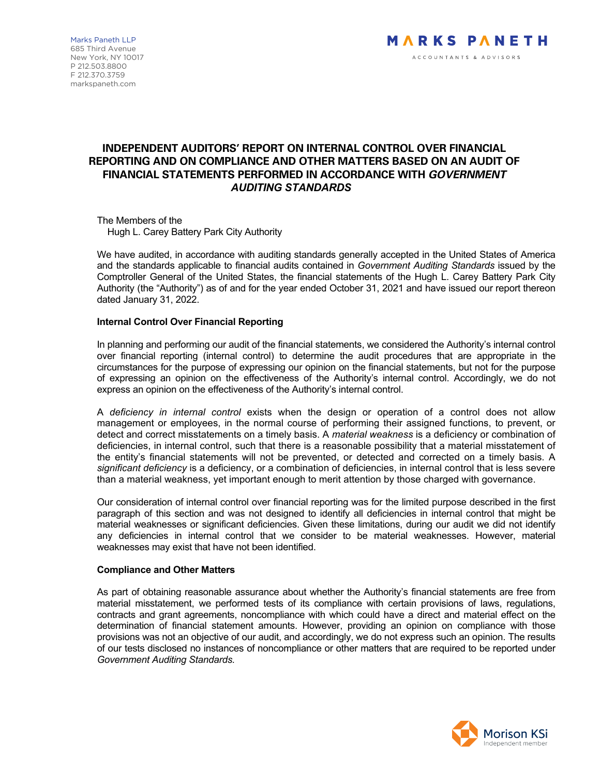## **INDEPENDENT AUDITORS' REPORT ON INTERNAL CONTROL OVER FINANCIAL REPORTING AND ON COMPLIANCE AND OTHER MATTERS BASED ON AN AUDIT OF FINANCIAL STATEMENTS PERFORMED IN ACCORDANCE WITH GOVERNMENT** *AUDITING STANDARDS*

The Members of the Hugh L. Carey Battery Park City Authority

We have audited, in accordance with auditing standards generally accepted in the United States of America and the standards applicable to financial audits contained in *Government Auditing Standards* issued by the Comptroller General of the United States, the financial statements of the Hugh L. Carey Battery Park City Authority (the "Authority") as of and for the year ended October 31, 2021 and have issued our report thereon dated January 31, 2022.

## **Internal Control Over Financial Reporting**

In planning and performing our audit of the financial statements, we considered the Authority's internal control over financial reporting (internal control) to determine the audit procedures that are appropriate in the circumstances for the purpose of expressing our opinion on the financial statements, but not for the purpose of expressing an opinion on the effectiveness of the Authority's internal control. Accordingly, we do not express an opinion on the effectiveness of the Authority's internal control.

A *deficiency in internal control* exists when the design or operation of a control does not allow management or employees, in the normal course of performing their assigned functions, to prevent, or detect and correct misstatements on a timely basis. A *material weakness* is a deficiency or combination of deficiencies, in internal control, such that there is a reasonable possibility that a material misstatement of the entity's financial statements will not be prevented, or detected and corrected on a timely basis. A *significant deficiency* is a deficiency, or a combination of deficiencies, in internal control that is less severe than a material weakness, yet important enough to merit attention by those charged with governance.

Our consideration of internal control over financial reporting was for the limited purpose described in the first paragraph of this section and was not designed to identify all deficiencies in internal control that might be material weaknesses or significant deficiencies. Given these limitations, during our audit we did not identify any deficiencies in internal control that we consider to be material weaknesses. However, material weaknesses may exist that have not been identified.

## **Compliance and Other Matters**

As part of obtaining reasonable assurance about whether the Authority's financial statements are free from material misstatement, we performed tests of its compliance with certain provisions of laws, regulations, contracts and grant agreements, noncompliance with which could have a direct and material effect on the determination of financial statement amounts. However, providing an opinion on compliance with those provisions was not an objective of our audit, and accordingly, we do not express such an opinion. The results of our tests disclosed no instances of noncompliance or other matters that are required to be reported under *Government Auditing Standards.*